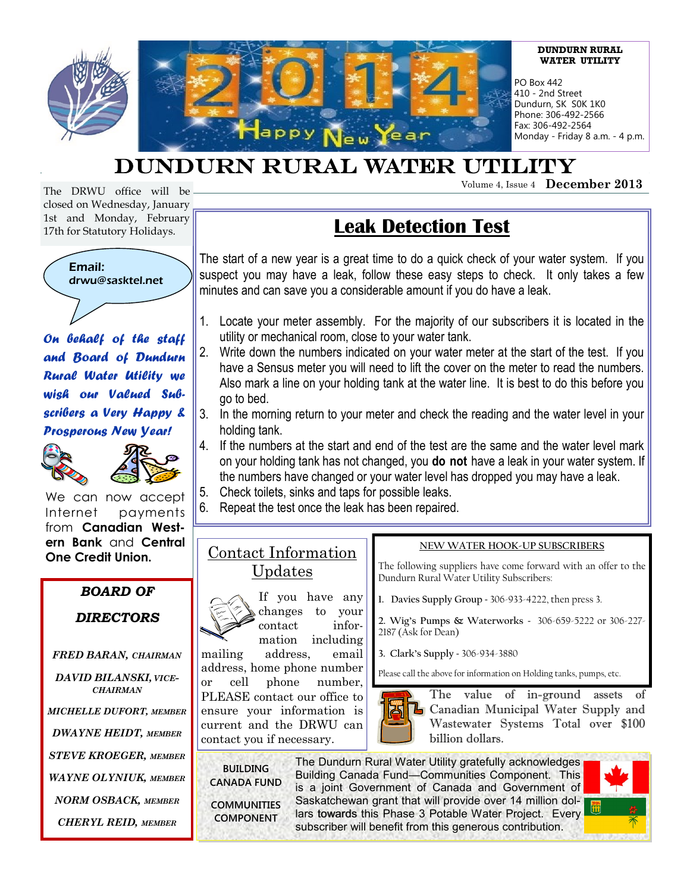

# DUNDURN RURAL WATER UTILITY

Volume 4, Issue 4 **December 2013**

The DRWU office will be closed on Wednesday, January 1st and Monday, February 17th for Statutory Holidays.



*On behalf of the staff and Board of Dundurn Rural Water Utility we wish our Valued Subscribers a Very Happy & Prosperous New Year!* 





We can now accept Internet payments from **Canadian Western Bank** and **Central One Credit Union.**

# *BOARD OF*

# *DIRECTORS*

- *FRED BARAN, CHAIRMAN DAVID BILANSKI, VICE-CHAIRMAN*
- *MICHELLE DUFORT, MEMBER*
- *DWAYNE HEIDT, MEMBER*

*STEVE KROEGER, MEMBER*

*WAYNE OLYNIUK, MEMBER*

*NORM OSBACK, MEMBER*

*CHERYL REID, MEMBER*

# **Leak Detection Test**

The start of a new year is a great time to do a quick check of your water system. If you suspect you may have a leak, follow these easy steps to check. It only takes a few minutes and can save you a considerable amount if you do have a leak.

- 1. Locate your meter assembly. For the majority of our subscribers it is located in the utility or mechanical room, close to your water tank.
- 2. Write down the numbers indicated on your water meter at the start of the test. If you have a Sensus meter you will need to lift the cover on the meter to read the numbers. Also mark a line on your holding tank at the water line. It is best to do this before you go to bed.
- 3. In the morning return to your meter and check the reading and the water level in your holding tank.
- 4. If the numbers at the start and end of the test are the same and the water level mark on your holding tank has not changed, you **do not** have a leak in your water system. If the numbers have changed or your water level has dropped you may have a leak.
- 5. Check toilets, sinks and taps for possible leaks.
- 6. Repeat the test once the leak has been repaired.

# Contact Information Updates

If you have any changes to your contact information including mailing address, email address, home phone number or cell phone number, PLEASE contact our office to ensure your information is current and the DRWU can contact you if necessary.

# **NEW WATER HOOK-UP SUBSCRIBERS**

The following suppliers have come forward with an offer to the Dundurn Rural Water Utility Subscribers:

**1. Davies Supply Group** - 306-933-4222, then press 3.

**2. Wig's Pumps & Waterworks** - 306-659-5222 or 306-227- 2187 (Ask for Dean)

**3. Clark's Supply** - 306-934-3880

Please call the above for information on Holding tanks, pumps, etc.



The value of in-ground assets **L** Canadian Municipal Water Supply and Wastewater Systems Total over \$100 billion dollars.

**BUILDING CANADA FUND COMMUNITIES COMPONENT**

The Dundurn Rural Water Utility gratefully acknowledges Building Canada Fund—Communities Component. This is a joint Government of Canada and Government of Saskatchewan grant that will provide over 14 million dollars towards this Phase 3 Potable Water Project. Every subscriber will benefit from this generous contribution.